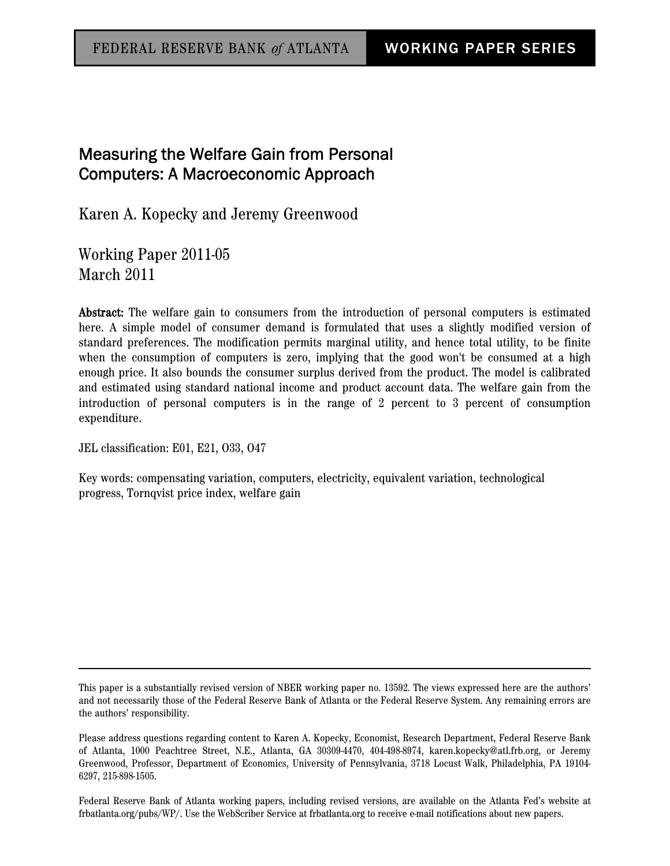# Measuring the Welfare Gain from Personal Computers: A Macroeconomic Approach

Karen A. Kopecky and Jeremy Greenwood

Working Paper 2011-05 March 2011

Abstract: The welfare gain to consumers from the introduction of personal computers is estimated here. A simple model of consumer demand is formulated that uses a slightly modified version of standard preferences. The modification permits marginal utility, and hence total utility, to be finite when the consumption of computers is zero, implying that the good won't be consumed at a high enough price. It also bounds the consumer surplus derived from the product. The model is calibrated and estimated using standard national income and product account data. The welfare gain from the introduction of personal computers is in the range of 2 percent to 3 percent of consumption expenditure.

JEL classification: E01, E21, O33, O47

Key words: compensating variation, computers, electricity, equivalent variation, technological progress, Tornqvist price index, welfare gain

This paper is a substantially revised version of NBER working paper no. 13592. The views expressed here are the authors' and not necessarily those of the Federal Reserve Bank of Atlanta or the Federal Reserve System. Any remaining errors are the authors' responsibility.

Please address questions regarding content to Karen A. Kopecky, Economist, Research Department, Federal Reserve Bank of Atlanta, 1000 Peachtree Street, N.E., Atlanta, GA 30309-4470, 404-498-8974, karen.kopecky@atl.frb.org, or Jeremy Greenwood, Professor, Department of Economics, University of Pennsylvania, 3718 Locust Walk, Philadelphia, PA 19104- 6297, 215-898-1505.

Federal Reserve Bank of Atlanta working papers, including revised versions, are available on the Atlanta Fed's website at frbatlanta.org/pubs/WP/. Use the WebScriber Service at frbatlanta.org to receive e-mail notifications about new papers.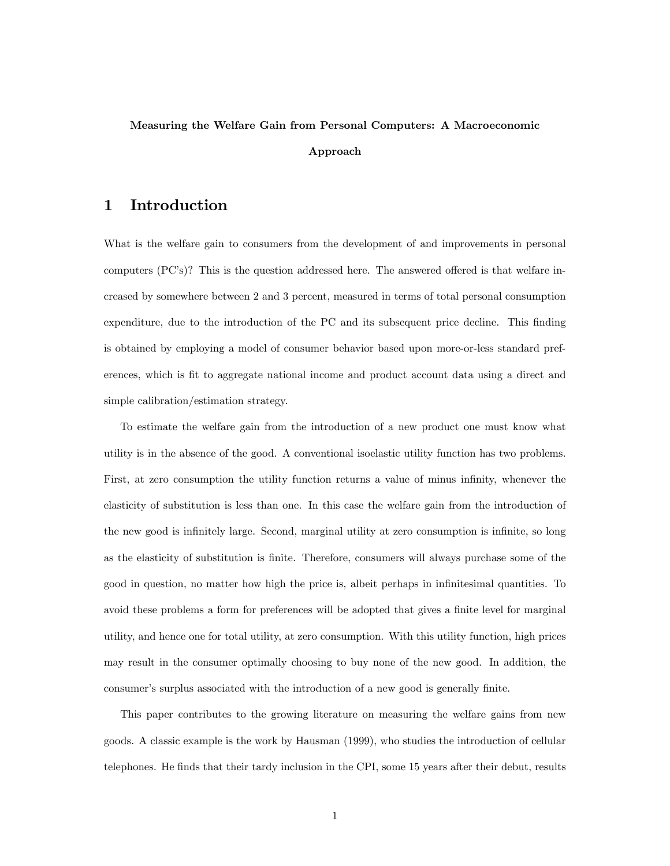# Measuring the Welfare Gain from Personal Computers: A Macroeconomic Approach

## 1 Introduction

What is the welfare gain to consumers from the development of and improvements in personal computers  $(PC's)$ ? This is the question addressed here. The answered offered is that welfare increased by somewhere between 2 and 3 percent, measured in terms of total personal consumption expenditure, due to the introduction of the PC and its subsequent price decline. This finding is obtained by employing a model of consumer behavior based upon more-or-less standard preferences, which is fit to aggregate national income and product account data using a direct and simple calibration/estimation strategy.

To estimate the welfare gain from the introduction of a new product one must know what utility is in the absence of the good. A conventional isoelastic utility function has two problems. First, at zero consumption the utility function returns a value of minus infinity, whenever the elasticity of substitution is less than one. In this case the welfare gain from the introduction of the new good is infinitely large. Second, marginal utility at zero consumption is infinite, so long as the elasticity of substitution is finite. Therefore, consumers will always purchase some of the good in question, no matter how high the price is, albeit perhaps in infinitesimal quantities. To avoid these problems a form for preferences will be adopted that gives a finite level for marginal utility, and hence one for total utility, at zero consumption. With this utility function, high prices may result in the consumer optimally choosing to buy none of the new good. In addition, the consumer's surplus associated with the introduction of a new good is generally finite.

This paper contributes to the growing literature on measuring the welfare gains from new goods. A classic example is the work by Hausman (1999), who studies the introduction of cellular telephones. He finds that their tardy inclusion in the CPI, some 15 years after their debut, results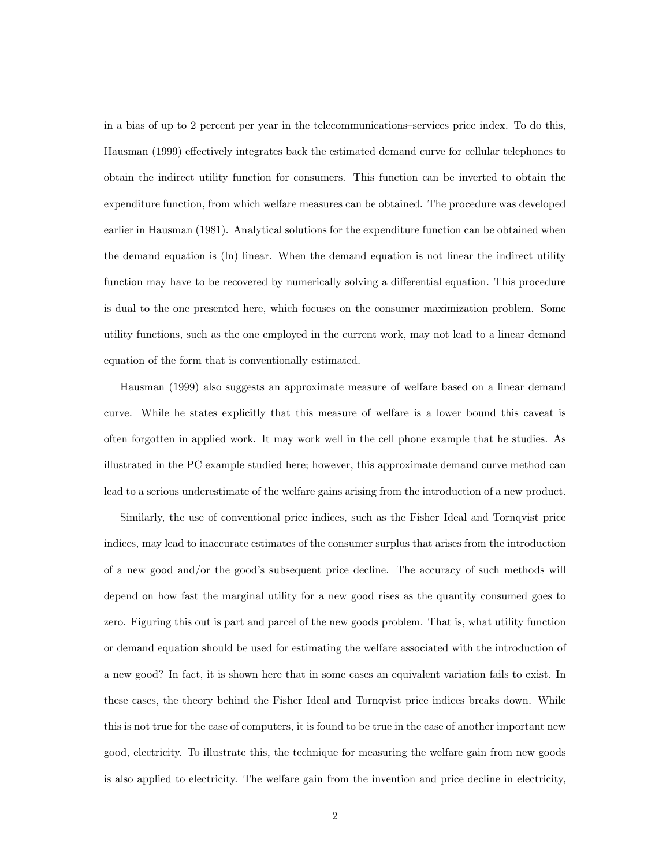in a bias of up to 2 percent per year in the telecommunications–services price index. To do this, Hausman (1999) effectively integrates back the estimated demand curve for cellular telephones to obtain the indirect utility function for consumers. This function can be inverted to obtain the expenditure function, from which welfare measures can be obtained. The procedure was developed earlier in Hausman (1981). Analytical solutions for the expenditure function can be obtained when the demand equation is (ln) linear. When the demand equation is not linear the indirect utility function may have to be recovered by numerically solving a differential equation. This procedure is dual to the one presented here, which focuses on the consumer maximization problem. Some utility functions, such as the one employed in the current work, may not lead to a linear demand equation of the form that is conventionally estimated.

Hausman (1999) also suggests an approximate measure of welfare based on a linear demand curve. While he states explicitly that this measure of welfare is a lower bound this caveat is often forgotten in applied work. It may work well in the cell phone example that he studies. As illustrated in the PC example studied here; however, this approximate demand curve method can lead to a serious underestimate of the welfare gains arising from the introduction of a new product.

Similarly, the use of conventional price indices, such as the Fisher Ideal and Tornqvist price indices, may lead to inaccurate estimates of the consumer surplus that arises from the introduction of a new good and/or the good's subsequent price decline. The accuracy of such methods will depend on how fast the marginal utility for a new good rises as the quantity consumed goes to zero. Figuring this out is part and parcel of the new goods problem. That is, what utility function or demand equation should be used for estimating the welfare associated with the introduction of a new good? In fact, it is shown here that in some cases an equivalent variation fails to exist. In these cases, the theory behind the Fisher Ideal and Tornqvist price indices breaks down. While this is not true for the case of computers, it is found to be true in the case of another important new good, electricity. To illustrate this, the technique for measuring the welfare gain from new goods is also applied to electricity. The welfare gain from the invention and price decline in electricity,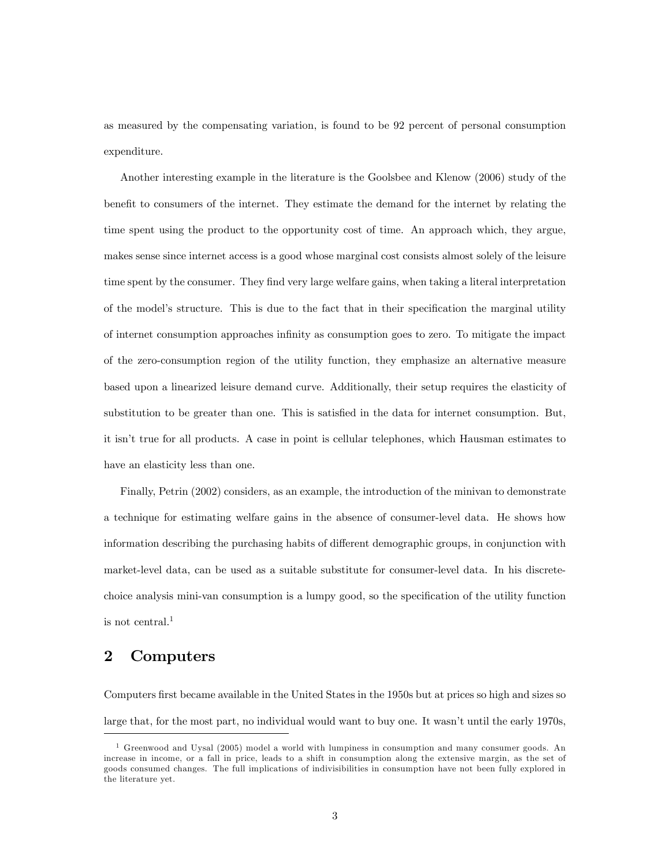as measured by the compensating variation, is found to be 92 percent of personal consumption expenditure.

Another interesting example in the literature is the Goolsbee and Klenow (2006) study of the benefit to consumers of the internet. They estimate the demand for the internet by relating the time spent using the product to the opportunity cost of time. An approach which, they argue, makes sense since internet access is a good whose marginal cost consists almost solely of the leisure time spent by the consumer. They find very large welfare gains, when taking a literal interpretation of the model's structure. This is due to the fact that in their specification the marginal utility of internet consumption approaches inÖnity as consumption goes to zero. To mitigate the impact of the zero-consumption region of the utility function, they emphasize an alternative measure based upon a linearized leisure demand curve. Additionally, their setup requires the elasticity of substitution to be greater than one. This is satisfied in the data for internet consumption. But, it isnít true for all products. A case in point is cellular telephones, which Hausman estimates to have an elasticity less than one.

Finally, Petrin (2002) considers, as an example, the introduction of the minivan to demonstrate a technique for estimating welfare gains in the absence of consumer-level data. He shows how information describing the purchasing habits of different demographic groups, in conjunction with market-level data, can be used as a suitable substitute for consumer-level data. In his discretechoice analysis mini-van consumption is a lumpy good, so the specification of the utility function is not central.<sup>1</sup>

## 2 Computers

Computers first became available in the United States in the 1950s but at prices so high and sizes so large that, for the most part, no individual would want to buy one. It wasn't until the early 1970s,

<sup>&</sup>lt;sup>1</sup> Greenwood and Uysal (2005) model a world with lumpiness in consumption and many consumer goods. An increase in income, or a fall in price, leads to a shift in consumption along the extensive margin, as the set of goods consumed changes. The full implications of indivisibilities in consumption have not been fully explored in the literature yet.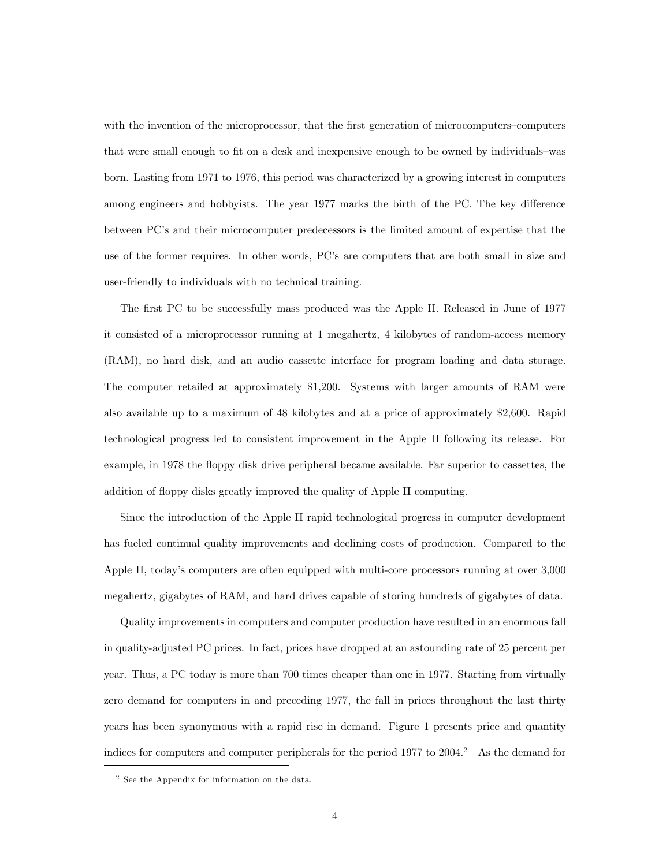with the invention of the microprocessor, that the first generation of microcomputers–computers that were small enough to fit on a desk and inexpensive enough to be owned by individuals—was born. Lasting from 1971 to 1976, this period was characterized by a growing interest in computers among engineers and hobbyists. The year 1977 marks the birth of the PC. The key difference between PC's and their microcomputer predecessors is the limited amount of expertise that the use of the former requires. In other words, PC's are computers that are both small in size and user-friendly to individuals with no technical training.

The first PC to be successfully mass produced was the Apple II. Released in June of 1977 it consisted of a microprocessor running at 1 megahertz, 4 kilobytes of random-access memory (RAM), no hard disk, and an audio cassette interface for program loading and data storage. The computer retailed at approximately \$1,200. Systems with larger amounts of RAM were also available up to a maximum of 48 kilobytes and at a price of approximately \$2,600. Rapid technological progress led to consistent improvement in the Apple II following its release. For example, in 1978 the floppy disk drive peripheral became available. Far superior to cassettes, the addition of floppy disks greatly improved the quality of Apple II computing.

Since the introduction of the Apple II rapid technological progress in computer development has fueled continual quality improvements and declining costs of production. Compared to the Apple II, today's computers are often equipped with multi-core processors running at over 3,000 megahertz, gigabytes of RAM, and hard drives capable of storing hundreds of gigabytes of data.

Quality improvements in computers and computer production have resulted in an enormous fall in quality-adjusted PC prices. In fact, prices have dropped at an astounding rate of 25 percent per year. Thus, a PC today is more than 700 times cheaper than one in 1977. Starting from virtually zero demand for computers in and preceding 1977, the fall in prices throughout the last thirty years has been synonymous with a rapid rise in demand. Figure 1 presents price and quantity indices for computers and computer peripherals for the period  $1977$  to  $2004$ .<sup>2</sup> As the demand for

<sup>2</sup> See the Appendix for information on the data.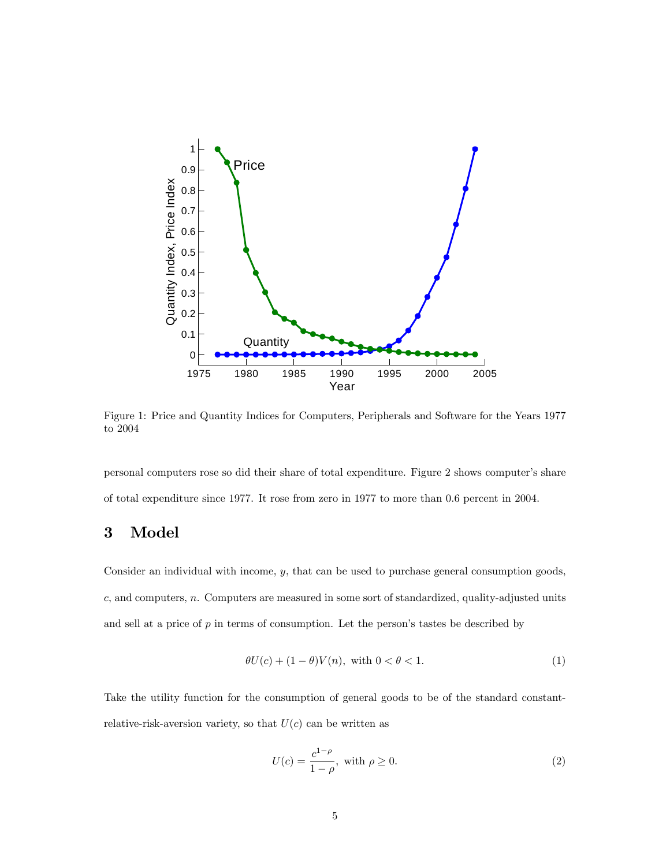

Figure 1: Price and Quantity Indices for Computers, Peripherals and Software for the Years 1977 to 2004

personal computers rose so did their share of total expenditure. Figure 2 shows computerís share of total expenditure since 1977. It rose from zero in 1977 to more than 0.6 percent in 2004.

# 3 Model

Consider an individual with income, y, that can be used to purchase general consumption goods, c, and computers, n. Computers are measured in some sort of standardized, quality-adjusted units and sell at a price of  $p$  in terms of consumption. Let the person's tastes be described by

$$
\theta U(c) + (1 - \theta)V(n), \text{ with } 0 < \theta < 1. \tag{1}
$$

Take the utility function for the consumption of general goods to be of the standard constantrelative-risk-aversion variety, so that  $U(c)$  can be written as

$$
U(c) = \frac{c^{1-\rho}}{1-\rho}, \text{ with } \rho \ge 0. \tag{2}
$$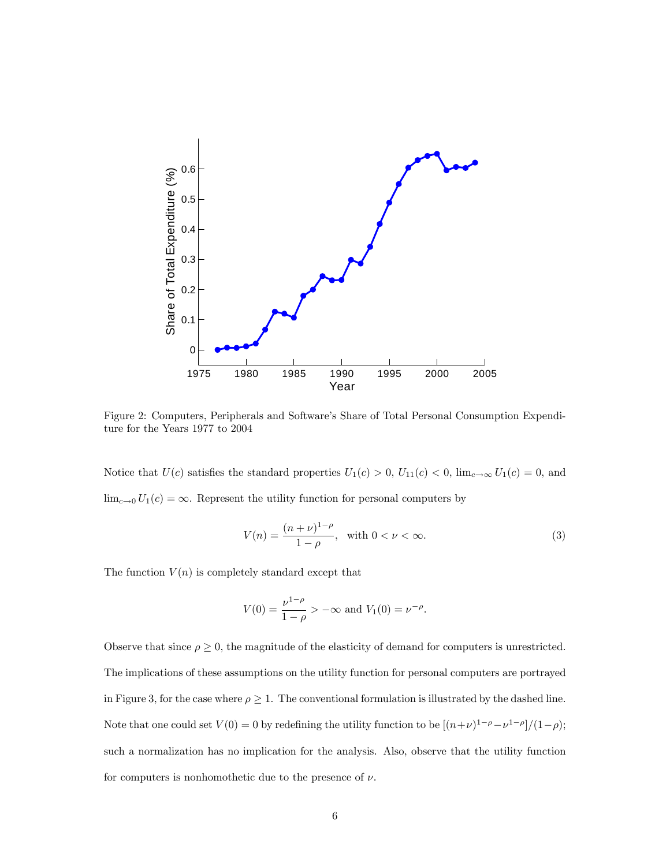

Figure 2: Computers, Peripherals and Software's Share of Total Personal Consumption Expenditure for the Years 1977 to 2004

Notice that  $U(c)$  satisfies the standard properties  $U_1(c) > 0$ ,  $U_{11}(c) < 0$ ,  $\lim_{c \to \infty} U_1(c) = 0$ , and  $\lim_{c\to 0} U_1(c) = \infty$ . Represent the utility function for personal computers by

$$
V(n) = \frac{(n+\nu)^{1-\rho}}{1-\rho}, \text{ with } 0 < \nu < \infty.
$$
 (3)

The function  $V(n)$  is completely standard except that

$$
V(0) = \frac{\nu^{1-\rho}}{1-\rho} > -\infty \text{ and } V_1(0) = \nu^{-\rho}.
$$

Observe that since  $\rho \geq 0$ , the magnitude of the elasticity of demand for computers is unrestricted. The implications of these assumptions on the utility function for personal computers are portrayed in Figure 3, for the case where  $\rho \geq 1$ . The conventional formulation is illustrated by the dashed line. Note that one could set  $V(0) = 0$  by redefining the utility function to be  $[(n+\nu)^{1-\rho} - \nu^{1-\rho}]/(1-\rho);$ such a normalization has no implication for the analysis. Also, observe that the utility function for computers is nonhomothetic due to the presence of  $\nu$ .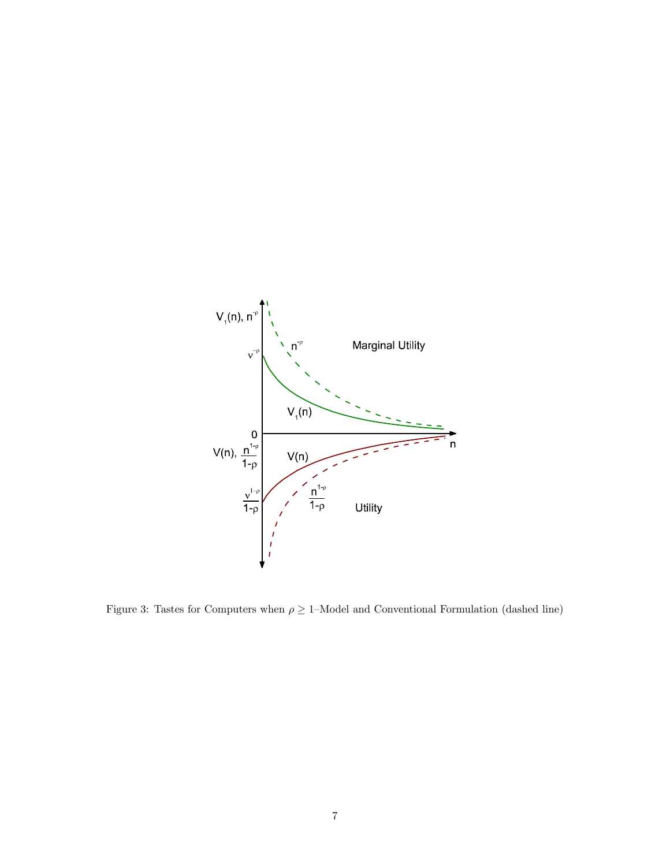

Figure 3: Tastes for Computers when  $\rho \geq 1$ –Model and Conventional Formulation (dashed line)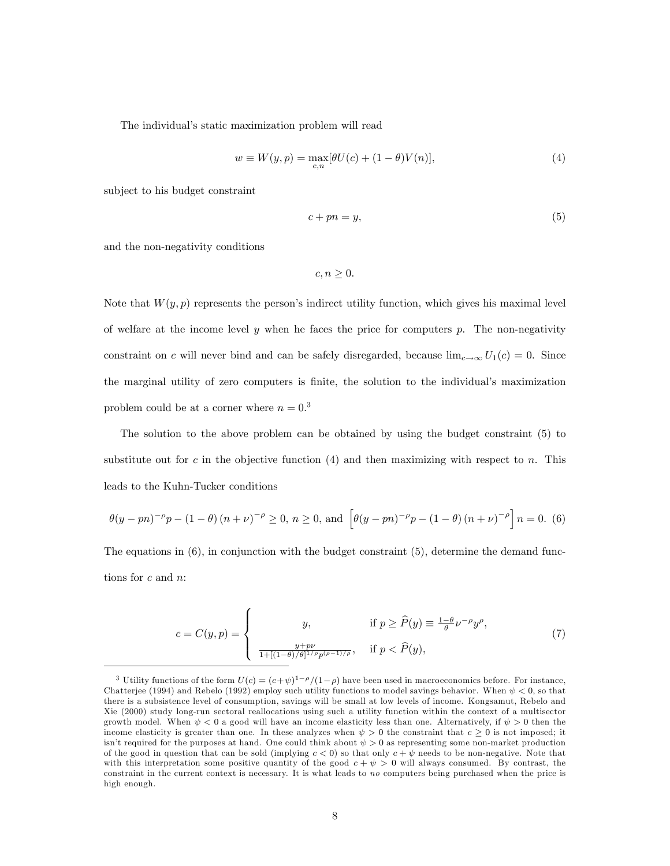The individual's static maximization problem will read

$$
w \equiv W(y, p) = \max_{c, n} [\theta U(c) + (1 - \theta)V(n)],
$$
\n(4)

subject to his budget constraint

$$
c + pn = y,\tag{5}
$$

and the non-negativity conditions

$$
c, n \geq 0.
$$

Note that  $W(y, p)$  represents the person's indirect utility function, which gives his maximal level of welfare at the income level  $y$  when he faces the price for computers  $p$ . The non-negativity constraint on c will never bind and can be safely disregarded, because  $\lim_{c\to\infty} U_1(c) = 0$ . Since the marginal utility of zero computers is finite, the solution to the individual's maximization problem could be at a corner where  $n = 0.3$ 

The solution to the above problem can be obtained by using the budget constraint (5) to substitute out for c in the objective function  $(4)$  and then maximizing with respect to n. This leads to the Kuhn-Tucker conditions

$$
\theta(y - pn)^{-\rho}p - (1 - \theta)(n + \nu)^{-\rho} \ge 0, n \ge 0, \text{ and } \left[\theta(y - pn)^{-\rho}p - (1 - \theta)(n + \nu)^{-\rho}\right]n = 0.
$$
 (6)

The equations in (6), in conjunction with the budget constraint (5), determine the demand functions for c and n:

$$
c = C(y, p) = \begin{cases} y, & \text{if } p \ge \widehat{P}(y) \equiv \frac{1-\theta}{\theta} \nu^{-\rho} y^{\rho}, \\ \frac{y + p\nu}{1 + [(1-\theta)/\theta]^{1/\rho} p^{(\rho-1)/\rho}}, & \text{if } p < \widehat{P}(y), \end{cases}
$$
(7)

<sup>&</sup>lt;sup>3</sup> Utility functions of the form  $U(c) = (c+\psi)^{1-\rho}/(1-\rho)$  have been used in macroeconomics before. For instance, Chatterjee (1994) and Rebelo (1992) employ such utility functions to model savings behavior. When  $\psi < 0$ , so that there is a subsistence level of consumption, savings will be small at low levels of income. Kongsamut, Rebelo and Xie (2000) study long-run sectoral reallocations using such a utility function within the context of a multisector growth model. When  $\psi < 0$  a good will have an income elasticity less than one. Alternatively, if  $\psi > 0$  then the income elasticity is greater than one. In these analyzes when  $\psi > 0$  the constraint that  $c \ge 0$  is not imposed; it isn't required for the purposes at hand. One could think about  $\psi > 0$  as representing some non-market production of the good in question that can be sold (implying  $c < 0$ ) so that only  $c + \psi$  needs to be non-negative. Note that with this interpretation some positive quantity of the good  $c + \psi > 0$  will always consumed. By contrast, the constraint in the current context is necessary. It is what leads to no computers being purchased when the price is high enough.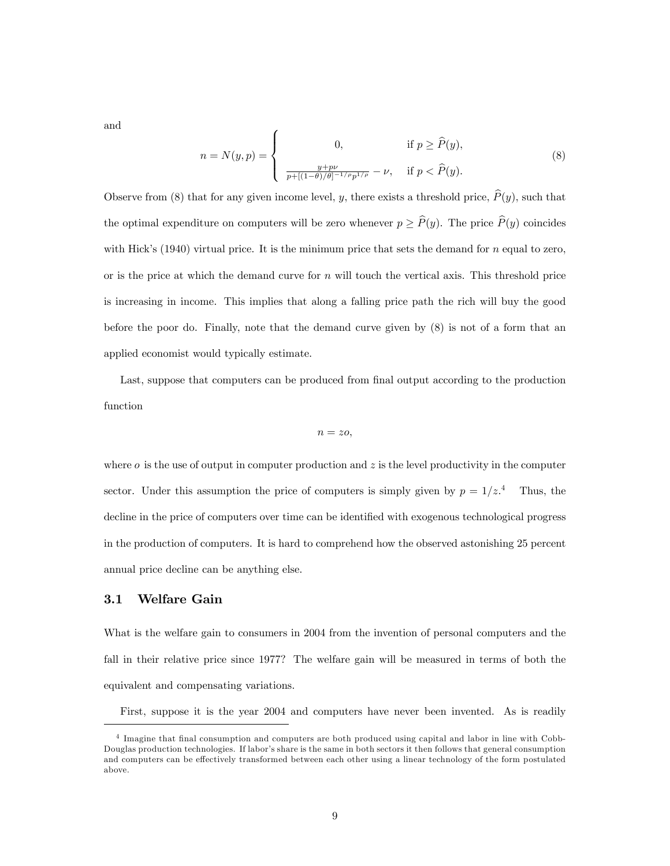and

$$
n = N(y, p) = \begin{cases} 0, & \text{if } p \ge \hat{P}(y), \\ \frac{y + p\nu}{p + [(1 - \theta)/\theta]^{-1/p} p^{1/p}} - \nu, & \text{if } p < \hat{P}(y). \end{cases}
$$
(8)

Observe from (8) that for any given income level, y, there exists a threshold price,  $\hat{P}(y)$ , such that the optimal expenditure on computers will be zero whenever  $p \geq \hat{P}(y)$ . The price  $\hat{P}(y)$  coincides with Hick's  $(1940)$  virtual price. It is the minimum price that sets the demand for n equal to zero, or is the price at which the demand curve for  $n$  will touch the vertical axis. This threshold price is increasing in income. This implies that along a falling price path the rich will buy the good before the poor do. Finally, note that the demand curve given by (8) is not of a form that an applied economist would typically estimate.

Last, suppose that computers can be produced from final output according to the production function

$$
n = zo,
$$

where  $\sigma$  is the use of output in computer production and  $z$  is the level productivity in the computer sector. Under this assumption the price of computers is simply given by  $p = 1/z<sup>4</sup>$ . Thus, the decline in the price of computers over time can be identified with exogenous technological progress in the production of computers. It is hard to comprehend how the observed astonishing 25 percent annual price decline can be anything else.

#### 3.1 Welfare Gain

What is the welfare gain to consumers in 2004 from the invention of personal computers and the fall in their relative price since 1977? The welfare gain will be measured in terms of both the equivalent and compensating variations.

First, suppose it is the year 2004 and computers have never been invented. As is readily

<sup>&</sup>lt;sup>4</sup> Imagine that final consumption and computers are both produced using capital and labor in line with Cobb-Douglas production technologies. If labor's share is the same in both sectors it then follows that general consumption and computers can be effectively transformed between each other using a linear technology of the form postulated above.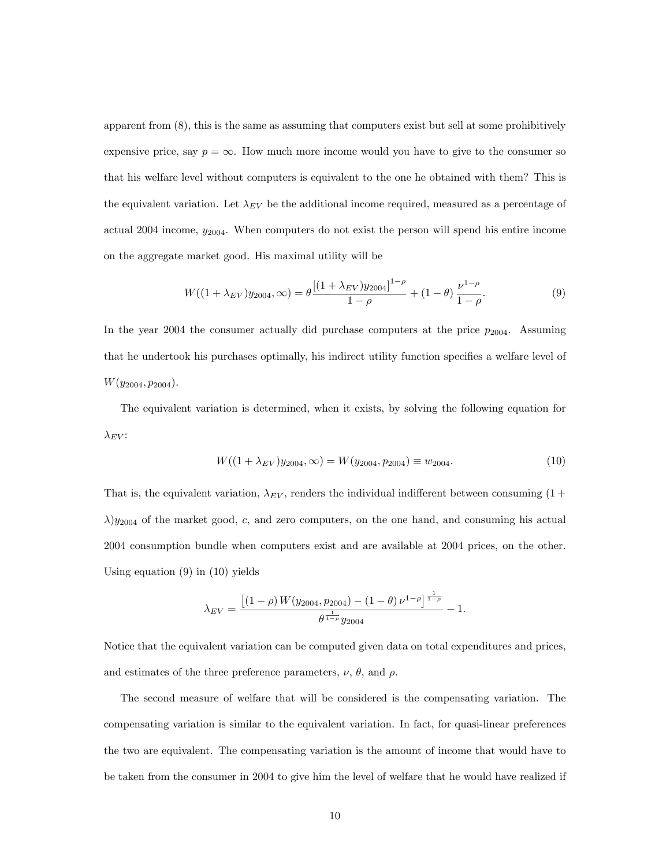apparent from (8), this is the same as assuming that computers exist but sell at some prohibitively expensive price, say  $p = \infty$ . How much more income would you have to give to the consumer so that his welfare level without computers is equivalent to the one he obtained with them? This is the equivalent variation. Let  $\lambda_{EV}$  be the additional income required, measured as a percentage of actual 2004 income,  $y_{2004}$ . When computers do not exist the person will spend his entire income on the aggregate market good. His maximal utility will be

$$
W((1+\lambda_{EV})y_{2004},\infty) = \theta \frac{[(1+\lambda_{EV})y_{2004}]^{1-\rho}}{1-\rho} + (1-\theta) \frac{\nu^{1-\rho}}{1-\rho}.
$$
 (9)

In the year 2004 the consumer actually did purchase computers at the price  $p_{2004}$ . Assuming that he undertook his purchases optimally, his indirect utility function specifies a welfare level of  $W(y_{2004}, p_{2004}).$ 

The equivalent variation is determined, when it exists, by solving the following equation for  $\lambda_{EV}$ :

$$
W((1 + \lambda_{EV})y_{2004}, \infty) = W(y_{2004}, p_{2004}) \equiv w_{2004}.
$$
 (10)

That is, the equivalent variation,  $\lambda_{EV}$ , renders the individual indifferent between consuming (1+  $\lambda$ )y<sub>2004</sub> of the market good, c, and zero computers, on the one hand, and consuming his actual 2004 consumption bundle when computers exist and are available at 2004 prices, on the other. Using equation  $(9)$  in  $(10)$  yields

$$
\lambda_{EV} = \frac{\left[ (1 - \rho) W(y_{2004}, p_{2004}) - (1 - \theta) \nu^{1 - \rho} \right]^{\frac{1}{1 - \rho}}}{\theta^{\frac{1}{1 - \rho}} y_{2004}} - 1.
$$

Notice that the equivalent variation can be computed given data on total expenditures and prices, and estimates of the three preference parameters,  $\nu$ ,  $\theta$ , and  $\rho$ .

The second measure of welfare that will be considered is the compensating variation. The compensating variation is similar to the equivalent variation. In fact, for quasi-linear preferences the two are equivalent. The compensating variation is the amount of income that would have to be taken from the consumer in 2004 to give him the level of welfare that he would have realized if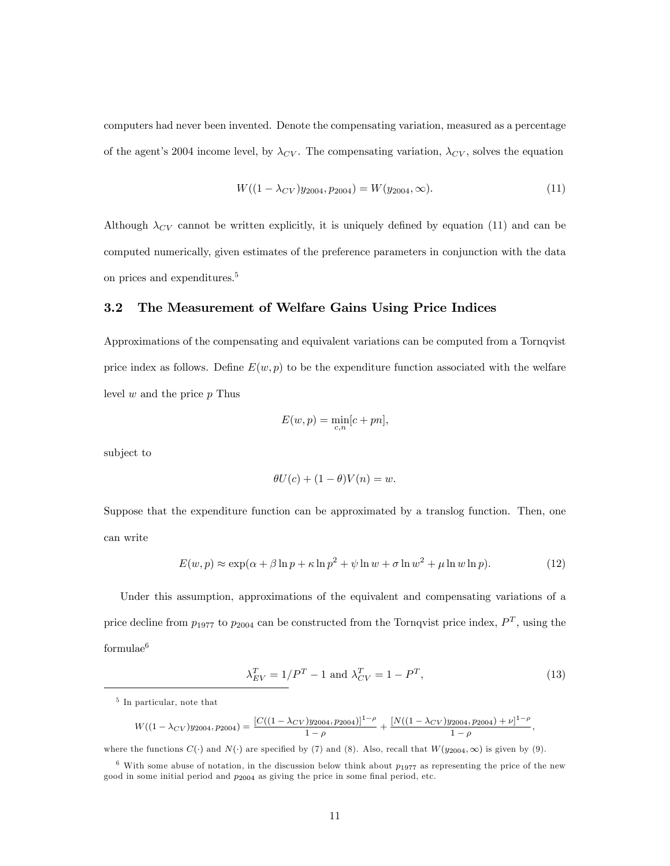computers had never been invented. Denote the compensating variation, measured as a percentage of the agent's 2004 income level, by  $\lambda_{CV}$ . The compensating variation,  $\lambda_{CV}$ , solves the equation

$$
W((1 - \lambda_{CV})y_{2004}, p_{2004}) = W(y_{2004}, \infty). \tag{11}
$$

Although  $\lambda_{CV}$  cannot be written explicitly, it is uniquely defined by equation (11) and can be computed numerically, given estimates of the preference parameters in conjunction with the data on prices and expenditures.<sup>5</sup>

#### 3.2 The Measurement of Welfare Gains Using Price Indices

Approximations of the compensating and equivalent variations can be computed from a Tornqvist price index as follows. Define  $E(w, p)$  to be the expenditure function associated with the welfare level  $w$  and the price  $p$  Thus

$$
E(w, p) = \min_{c, n} [c + pn],
$$

subject to

$$
\theta U(c) + (1 - \theta)V(n) = w.
$$

Suppose that the expenditure function can be approximated by a translog function. Then, one can write

$$
E(w, p) \approx \exp(\alpha + \beta \ln p + \kappa \ln p^2 + \psi \ln w + \sigma \ln w^2 + \mu \ln w \ln p). \tag{12}
$$

Under this assumption, approximations of the equivalent and compensating variations of a price decline from  $p_{1977}$  to  $p_{2004}$  can be constructed from the Tornqvist price index,  $P^T$ , using the formulae<sup>6</sup>

$$
\lambda_{EV}^T = 1/P^T - 1 \text{ and } \lambda_{CV}^T = 1 - P^T,\tag{13}
$$

$$
W((1-\lambda_{CV})y_{2004}, p_{2004}) = \frac{[C((1-\lambda_{CV})y_{2004}, p_{2004})]^{1-\rho}}{1-\rho} + \frac{[N((1-\lambda_{CV})y_{2004}, p_{2004}) + \nu]^{1-\rho}}{1-\rho},
$$

where the functions  $C(\cdot)$  and  $N(\cdot)$  are specified by (7) and (8). Also, recall that  $W(y_{2004},\infty)$  is given by (9).

<sup>5</sup> In particular, note that

 $6$  With some abuse of notation, in the discussion below think about  $p_{1977}$  as representing the price of the new good in some initial period and  $p_{2004}$  as giving the price in some final period, etc.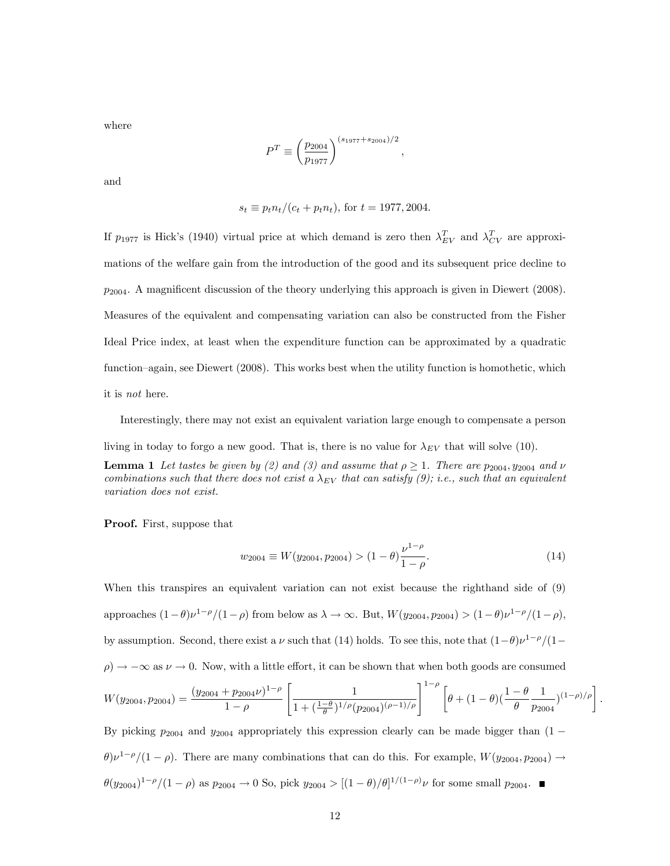where

$$
P^T \equiv \left(\frac{p_{2004}}{p_{1977}}\right)^{(s_{1977} + s_{2004})/2},
$$

and

$$
s_t \equiv p_t n_t/(c_t + p_t n_t)
$$
, for  $t = 1977, 2004$ .

If  $p_{1977}$  is Hick's (1940) virtual price at which demand is zero then  $\lambda_{EV}^T$  and  $\lambda_{CV}^T$  are approximations of the welfare gain from the introduction of the good and its subsequent price decline to  $p_{2004}$ . A magnificent discussion of the theory underlying this approach is given in Diewert (2008). Measures of the equivalent and compensating variation can also be constructed from the Fisher Ideal Price index, at least when the expenditure function can be approximated by a quadratic function–again, see Diewert  $(2008)$ . This works best when the utility function is homothetic, which it is not here.

Interestingly, there may not exist an equivalent variation large enough to compensate a person

living in today to forgo a new good. That is, there is no value for  $\lambda_{EV}$  that will solve (10).

**Lemma 1** Let tastes be given by (2) and (3) and assume that  $\rho \geq 1$ . There are  $p_{2004}$ ,  $y_{2004}$  and  $\nu$ combinations such that there does not exist a  $\lambda_{EV}$  that can satisfy (9); i.e., such that an equivalent variation does not exist.

Proof. First, suppose that

$$
w_{2004} \equiv W(y_{2004}, p_{2004}) > (1 - \theta) \frac{\nu^{1 - \rho}}{1 - \rho}.
$$
 (14)

When this transpires an equivalent variation can not exist because the righthand side of (9) approaches  $(1-\theta)\nu^{1-\rho}/(1-\rho)$  from below as  $\lambda \to \infty$ . But,  $W(y_{2004}, p_{2004}) > (1-\theta)\nu^{1-\rho}/(1-\rho)$ , by assumption. Second, there exist a  $\nu$  such that (14) holds. To see this, note that  $(1-\theta)\nu^{1-\rho}/(1-\theta)$  $(\rho) \rightarrow -\infty$  as  $\nu \rightarrow 0$ . Now, with a little effort, it can be shown that when both goods are consumed  $W(y_{2004}, p_{2004}) = \frac{(y_{2004} + p_{2004}\nu)^{1-\rho}}{1-\rho}$  $1-\rho$  $\begin{bmatrix} 1 & 1 \\ 1 & 1 \end{bmatrix}$  $\frac{1}{1+(\frac{1-\theta}{\theta})^{1/\rho}(p_{2004})^{(\rho-1)/\rho}}\Biggr]^{1-\rho}\biggl[ \theta+(1-\theta)(\frac{1-\theta}{\theta})$ 1  $\frac{1}{p_{2004}})^{(1-\rho)/\rho}$ .

By picking  $p_{2004}$  and  $y_{2004}$  appropriately this expression clearly can be made bigger than  $(1 (\theta)\nu^{1-\rho}/(1-\rho)$ . There are many combinations that can do this. For example,  $W(y_{2004}, p_{2004}) \rightarrow$  $\theta(y_{2004})^{1-\rho}/(1-\rho)$  as  $p_{2004} \to 0$  So, pick  $y_{2004} > [(1-\theta)/\theta]^{1/(1-\rho)}\nu$  for some small  $p_{2004}$ .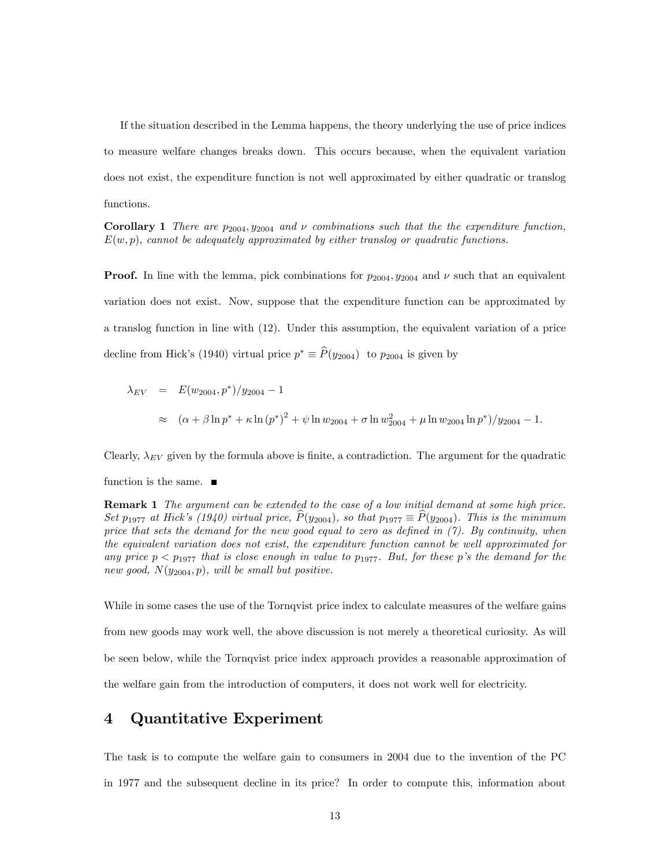If the situation described in the Lemma happens, the theory underlying the use of price indices to measure welfare changes breaks down. This occurs because, when the equivalent variation does not exist, the expenditure function is not well approximated by either quadratic or translog functions.

**Corollary 1** There are  $p_{2004}$ ,  $y_{2004}$  and  $\nu$  combinations such that the the expenditure function,  $E(w, p)$ , cannot be adequately approximated by either translog or quadratic functions.

**Proof.** In line with the lemma, pick combinations for  $p_{2004}$ ,  $y_{2004}$  and  $\nu$  such that an equivalent variation does not exist. Now, suppose that the expenditure function can be approximated by a translog function in line with (12). Under this assumption, the equivalent variation of a price decline from Hick's (1940) virtual price  $p^* \equiv P(y_{2004})$  to  $p_{2004}$  is given by

$$
\lambda_{EV} = E(w_{2004}, p^*)/y_{2004} - 1
$$
  
\n
$$
\approx (\alpha + \beta \ln p^* + \kappa \ln (p^*)^2 + \psi \ln w_{2004} + \sigma \ln w_{2004}^2 + \mu \ln w_{2004} \ln p^*)/y_{2004} - 1.
$$

Clearly,  $\lambda_{EV}$  given by the formula above is finite, a contradiction. The argument for the quadratic

function is the same.  $\blacksquare$ 

**Remark 1** The argument can be extended to the case of a low initial demand at some high price. Set  $p_{1977}$  at Hick's (1940) virtual price,  $\hat{P}(y_{2004})$ , so that  $p_{1977} \equiv \hat{P}(y_{2004})$ . This is the minimum price that sets the demand for the new good equal to zero as defined in  $(7)$ . By continuity, when the equivalent variation does not exist, the expenditure function cannot be well approximated for any price  $p < p_{1977}$  that is close enough in value to  $p_{1977}$ . But, for these p's the demand for the new good,  $N(y_{2004}, p)$ , will be small but positive.

While in some cases the use of the Tornqvist price index to calculate measures of the welfare gains from new goods may work well, the above discussion is not merely a theoretical curiosity. As will be seen below, while the Tornqvist price index approach provides a reasonable approximation of the welfare gain from the introduction of computers, it does not work well for electricity.

## 4 Quantitative Experiment

The task is to compute the welfare gain to consumers in 2004 due to the invention of the PC in 1977 and the subsequent decline in its price? In order to compute this, information about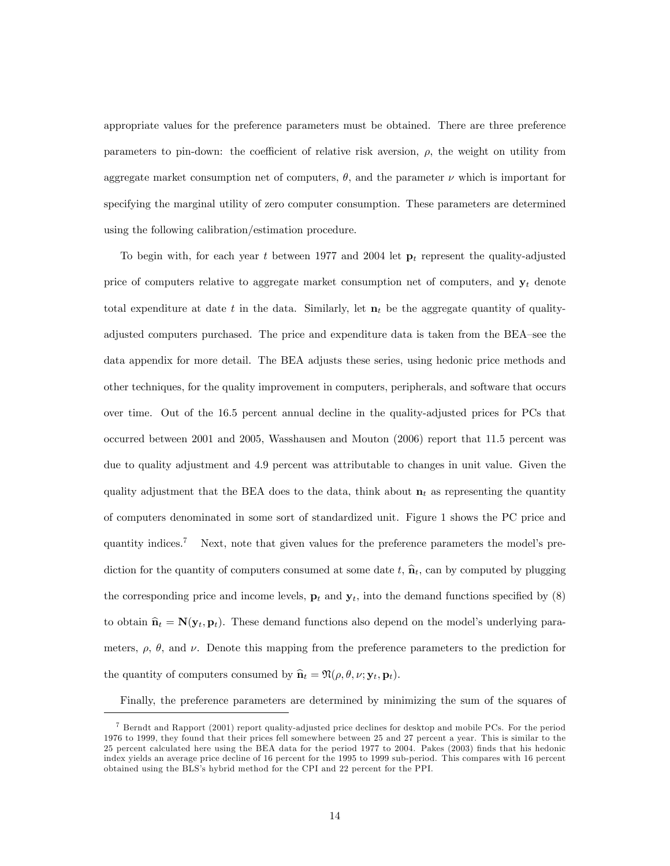appropriate values for the preference parameters must be obtained. There are three preference parameters to pin-down: the coefficient of relative risk aversion,  $\rho$ , the weight on utility from aggregate market consumption net of computers,  $\theta$ , and the parameter  $\nu$  which is important for specifying the marginal utility of zero computer consumption. These parameters are determined using the following calibration/estimation procedure.

To begin with, for each year t between 1977 and 2004 let  $\mathbf{p}_t$  represent the quality-adjusted price of computers relative to aggregate market consumption net of computers, and  $y_t$  denote total expenditure at date t in the data. Similarly, let  $\mathbf{n}_t$  be the aggregate quantity of qualityadjusted computers purchased. The price and expenditure data is taken from the BEA–see the data appendix for more detail. The BEA adjusts these series, using hedonic price methods and other techniques, for the quality improvement in computers, peripherals, and software that occurs over time. Out of the 16.5 percent annual decline in the quality-adjusted prices for PCs that occurred between 2001 and 2005, Wasshausen and Mouton (2006) report that 11.5 percent was due to quality adjustment and 4.9 percent was attributable to changes in unit value. Given the quality adjustment that the BEA does to the data, think about  $n_t$  as representing the quantity of computers denominated in some sort of standardized unit. Figure 1 shows the PC price and quantity indices.<sup>7</sup> Next, note that given values for the preference parameters the model's prediction for the quantity of computers consumed at some date t,  $\hat{\mathbf{n}}_t$ , can by computed by plugging the corresponding price and income levels,  $\mathbf{p}_t$  and  $\mathbf{y}_t$ , into the demand functions specified by (8) to obtain  $\hat{\mathbf{n}}_t = \mathbf{N}(\mathbf{y}_t, \mathbf{p}_t)$ . These demand functions also depend on the model's underlying parameters,  $\rho$ ,  $\theta$ , and  $\nu$ . Denote this mapping from the preference parameters to the prediction for the quantity of computers consumed by  $\hat{\mathbf{n}}_t = \Re(\rho, \theta, \nu; \mathbf{y}_t, \mathbf{p}_t).$ 

Finally, the preference parameters are determined by minimizing the sum of the squares of

<sup>7</sup> Berndt and Rapport (2001) report quality-adjusted price declines for desktop and mobile PCs. For the period 1976 to 1999, they found that their prices fell somewhere between 25 and 27 percent a year. This is similar to the 25 percent calculated here using the BEA data for the period 1977 to 2004. Pakes (2003) Önds that his hedonic index yields an average price decline of 16 percent for the 1995 to 1999 sub-period. This compares with 16 percent obtained using the BLS's hybrid method for the CPI and 22 percent for the PPI.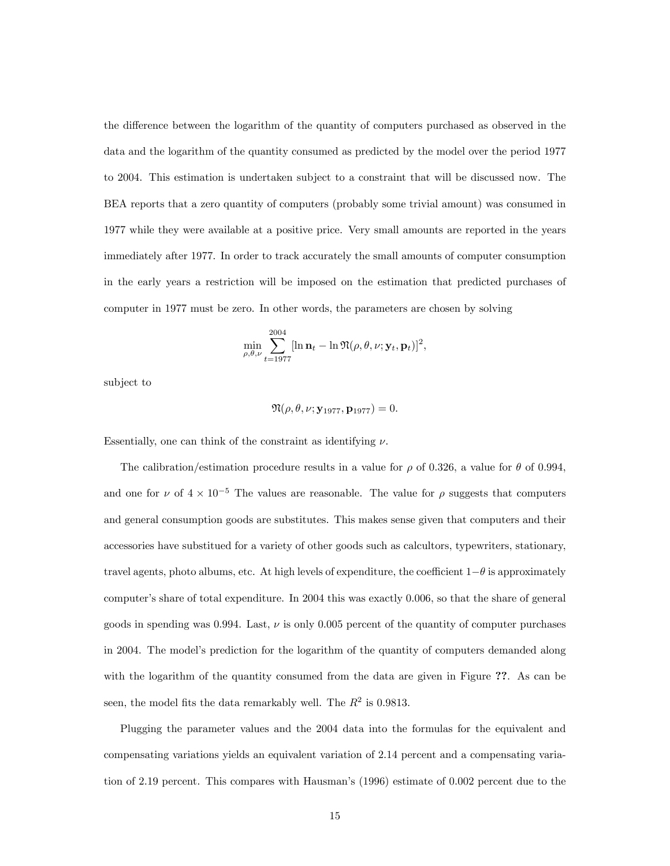the difference between the logarithm of the quantity of computers purchased as observed in the data and the logarithm of the quantity consumed as predicted by the model over the period 1977 to 2004. This estimation is undertaken subject to a constraint that will be discussed now. The BEA reports that a zero quantity of computers (probably some trivial amount) was consumed in 1977 while they were available at a positive price. Very small amounts are reported in the years immediately after 1977. In order to track accurately the small amounts of computer consumption in the early years a restriction will be imposed on the estimation that predicted purchases of computer in 1977 must be zero. In other words, the parameters are chosen by solving

$$
\min_{\rho,\theta,\nu} \sum_{t=1977}^{2004} [\ln \mathbf{n}_t - \ln \mathfrak{N}(\rho,\theta,\nu;\mathbf{y}_t,\mathbf{p}_t)]^2,
$$

subject to

$$
\mathfrak{N}(\rho,\theta,\nu;\mathbf{y}_{1977},\mathbf{p}_{1977})=0.
$$

Essentially, one can think of the constraint as identifying  $\nu$ .

The calibration/estimation procedure results in a value for  $\rho$  of 0.326, a value for  $\theta$  of 0.994, and one for  $\nu$  of  $4 \times 10^{-5}$  The values are reasonable. The value for  $\rho$  suggests that computers and general consumption goods are substitutes. This makes sense given that computers and their accessories have substitued for a variety of other goods such as calcultors, typewriters, stationary, travel agents, photo albums, etc. At high levels of expenditure, the coefficient  $1-\theta$  is approximately computer's share of total expenditure. In 2004 this was exactly 0.006, so that the share of general goods in spending was 0.994. Last,  $\nu$  is only 0.005 percent of the quantity of computer purchases in 2004. The model's prediction for the logarithm of the quantity of computers demanded along with the logarithm of the quantity consumed from the data are given in Figure ??. As can be seen, the model fits the data remarkably well. The  $R^2$  is 0.9813.

Plugging the parameter values and the 2004 data into the formulas for the equivalent and compensating variations yields an equivalent variation of 2:14 percent and a compensating variation of 2.19 percent. This compares with Hausman's (1996) estimate of 0.002 percent due to the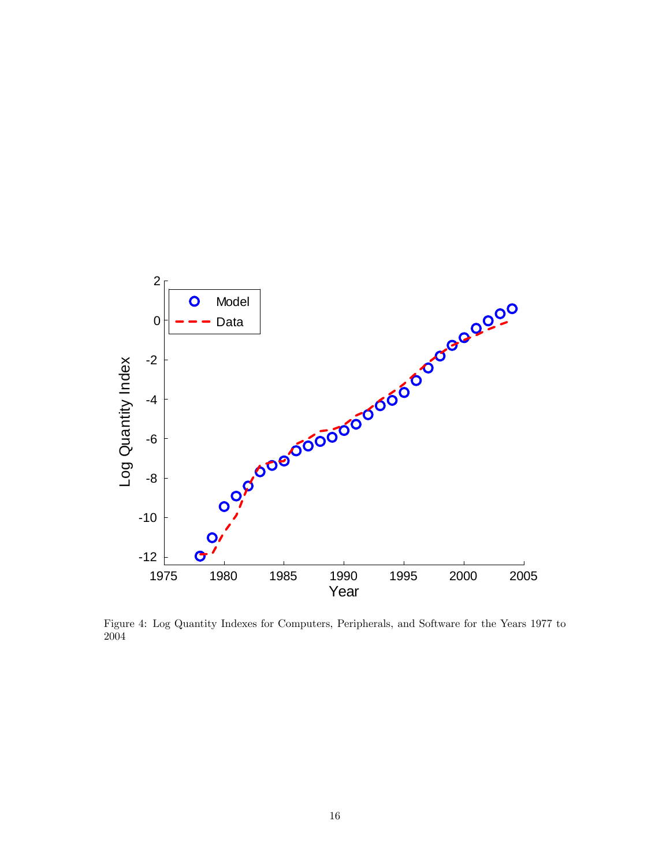

Figure 4: Log Quantity Indexes for Computers, Peripherals, and Software for the Years 1977 to 2004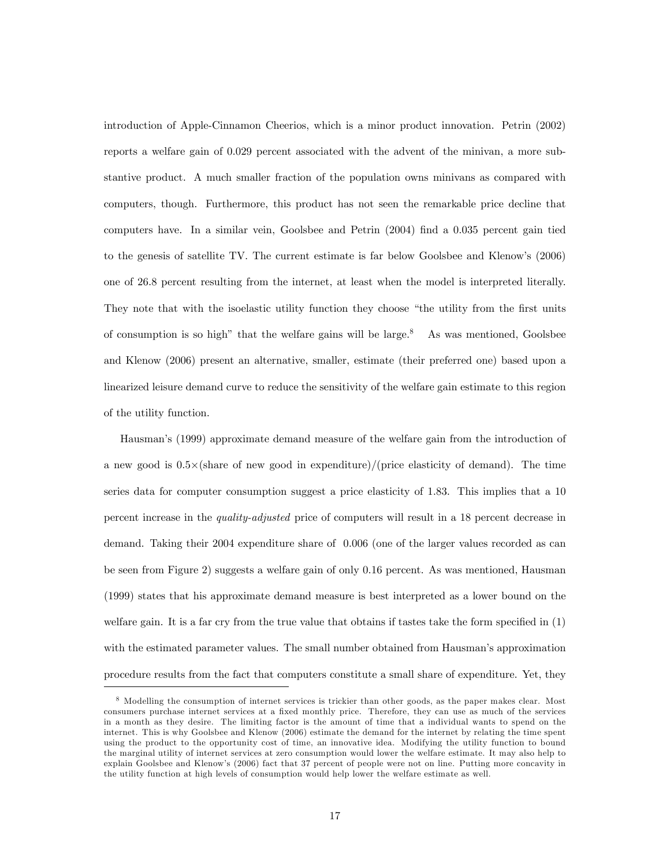introduction of Apple-Cinnamon Cheerios, which is a minor product innovation. Petrin (2002) reports a welfare gain of 0:029 percent associated with the advent of the minivan, a more substantive product. A much smaller fraction of the population owns minivans as compared with computers, though. Furthermore, this product has not seen the remarkable price decline that computers have. In a similar vein, Goolsbee and Petrin  $(2004)$  find a 0.035 percent gain tied to the genesis of satellite TV. The current estimate is far below Goolsbee and Klenowís (2006) one of 26:8 percent resulting from the internet, at least when the model is interpreted literally. They note that with the isoelastic utility function they choose "the utility from the first units" of consumption is so high" that the welfare gains will be large.<sup>8</sup> As was mentioned, Goolsbee and Klenow (2006) present an alternative, smaller, estimate (their preferred one) based upon a linearized leisure demand curve to reduce the sensitivity of the welfare gain estimate to this region of the utility function.

Hausmanís (1999) approximate demand measure of the welfare gain from the introduction of a new good is  $0.5\times$  (share of new good in expenditure)/(price elasticity of demand). The time series data for computer consumption suggest a price elasticity of 1:83. This implies that a 10 percent increase in the quality-adjusted price of computers will result in a 18 percent decrease in demand. Taking their 2004 expenditure share of 0:006 (one of the larger values recorded as can be seen from Figure 2) suggests a welfare gain of only 0:16 percent. As was mentioned, Hausman (1999) states that his approximate demand measure is best interpreted as a lower bound on the welfare gain. It is a far cry from the true value that obtains if tastes take the form specified in  $(1)$ with the estimated parameter values. The small number obtained from Hausman's approximation procedure results from the fact that computers constitute a small share of expenditure. Yet, they

<sup>8</sup> Modelling the consumption of internet services is trickier than other goods, as the paper makes clear. Most consumers purchase internet services at a fixed monthly price. Therefore, they can use as much of the services in a month as they desire. The limiting factor is the amount of time that a individual wants to spend on the internet. This is why Goolsbee and Klenow (2006) estimate the demand for the internet by relating the time spent using the product to the opportunity cost of time, an innovative idea. Modifying the utility function to bound the marginal utility of internet services at zero consumption would lower the welfare estimate. It may also help to explain Goolsbee and Klenowís (2006) fact that 37 percent of people were not on line. Putting more concavity in the utility function at high levels of consumption would help lower the welfare estimate as well.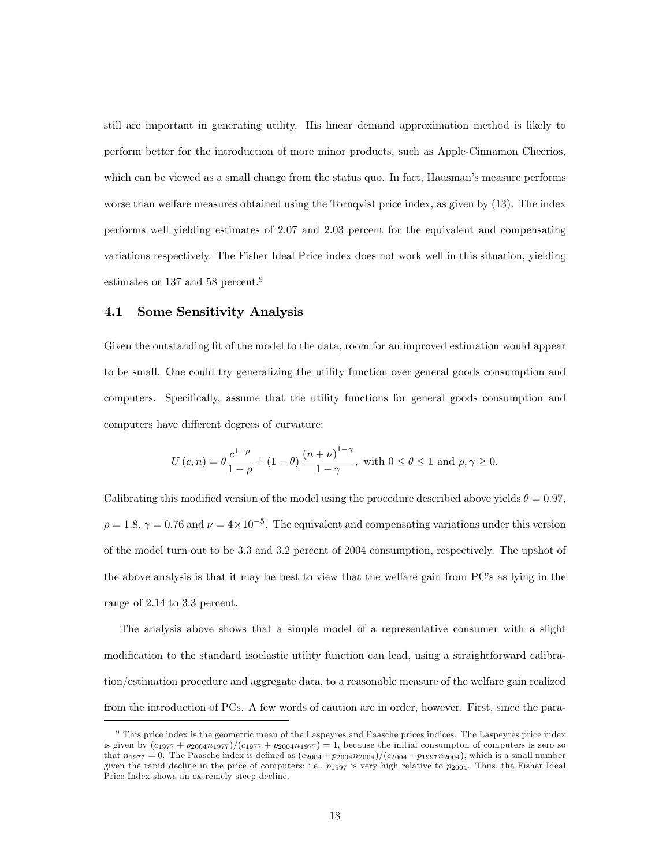still are important in generating utility. His linear demand approximation method is likely to perform better for the introduction of more minor products, such as Apple-Cinnamon Cheerios, which can be viewed as a small change from the status quo. In fact, Hausman's measure performs worse than welfare measures obtained using the Tornqvist price index, as given by (13). The index performs well yielding estimates of 2:07 and 2:03 percent for the equivalent and compensating variations respectively. The Fisher Ideal Price index does not work well in this situation, yielding estimates or 137 and 58 percent.<sup>9</sup>

### 4.1 Some Sensitivity Analysis

Given the outstanding fit of the model to the data, room for an improved estimation would appear to be small. One could try generalizing the utility function over general goods consumption and computers. Specifically, assume that the utility functions for general goods consumption and computers have different degrees of curvature:

$$
U(c, n) = \theta \frac{c^{1-\rho}}{1-\rho} + (1-\theta) \frac{(n+\nu)^{1-\gamma}}{1-\gamma}, \text{ with } 0 \le \theta \le 1 \text{ and } \rho, \gamma \ge 0.
$$

Calibrating this modified version of the model using the procedure described above yields  $\theta = 0.97$ ,  $\rho = 1.8, \gamma = 0.76$  and  $\nu = 4 \times 10^{-5}$ . The equivalent and compensating variations under this version of the model turn out to be 3:3 and 3:2 percent of 2004 consumption, respectively. The upshot of the above analysis is that it may be best to view that the welfare gain from PC's as lying in the range of 2.14 to 3.3 percent.

The analysis above shows that a simple model of a representative consumer with a slight modification to the standard isoelastic utility function can lead, using a straightforward calibration/estimation procedure and aggregate data, to a reasonable measure of the welfare gain realized from the introduction of PCs. A few words of caution are in order, however. First, since the para-

<sup>&</sup>lt;sup>9</sup> This price index is the geometric mean of the Laspeyres and Paasche prices indices. The Laspeyres price index is given by  $(c_{1977} + p_{2004}n_{1977})/(c_{1977} + p_{2004}n_{1977}) = 1$ , because the initial consumpton of computers is zero so that  $n_{1977} = 0$ . The Paasche index is defined as  $(c_{2004} + p_{2004}n_{2004})/(c_{2004} + p_{1997}n_{2004})$ , which is a small number given the rapid decline in the price of computers; i.e.,  $p_{1997}$  is very high relative to  $p_{2004}$ . Thus, the Fisher Ideal Price Index shows an extremely steep decline.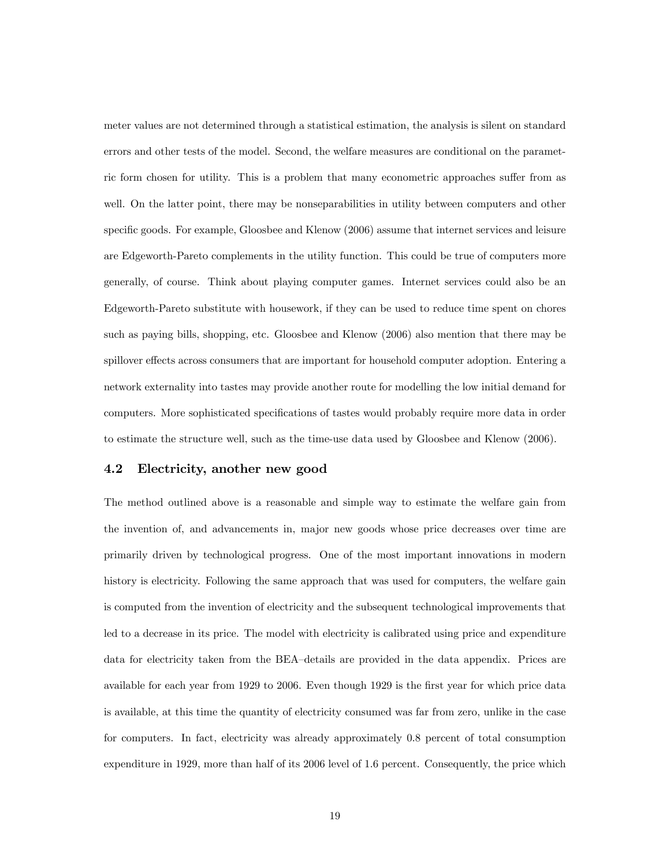meter values are not determined through a statistical estimation, the analysis is silent on standard errors and other tests of the model. Second, the welfare measures are conditional on the parametric form chosen for utility. This is a problem that many econometric approaches suffer from as well. On the latter point, there may be nonseparabilities in utility between computers and other specific goods. For example, Gloosbee and Klenow (2006) assume that internet services and leisure are Edgeworth-Pareto complements in the utility function. This could be true of computers more generally, of course. Think about playing computer games. Internet services could also be an Edgeworth-Pareto substitute with housework, if they can be used to reduce time spent on chores such as paying bills, shopping, etc. Gloosbee and Klenow (2006) also mention that there may be spillover effects across consumers that are important for household computer adoption. Entering a network externality into tastes may provide another route for modelling the low initial demand for computers. More sophisticated specifications of tastes would probably require more data in order to estimate the structure well, such as the time-use data used by Gloosbee and Klenow (2006).

### 4.2 Electricity, another new good

The method outlined above is a reasonable and simple way to estimate the welfare gain from the invention of, and advancements in, major new goods whose price decreases over time are primarily driven by technological progress. One of the most important innovations in modern history is electricity. Following the same approach that was used for computers, the welfare gain is computed from the invention of electricity and the subsequent technological improvements that led to a decrease in its price. The model with electricity is calibrated using price and expenditure data for electricity taken from the BEA-details are provided in the data appendix. Prices are available for each year from 1929 to 2006. Even though 1929 is the first year for which price data is available, at this time the quantity of electricity consumed was far from zero, unlike in the case for computers. In fact, electricity was already approximately 0:8 percent of total consumption expenditure in 1929, more than half of its 2006 level of 1:6 percent. Consequently, the price which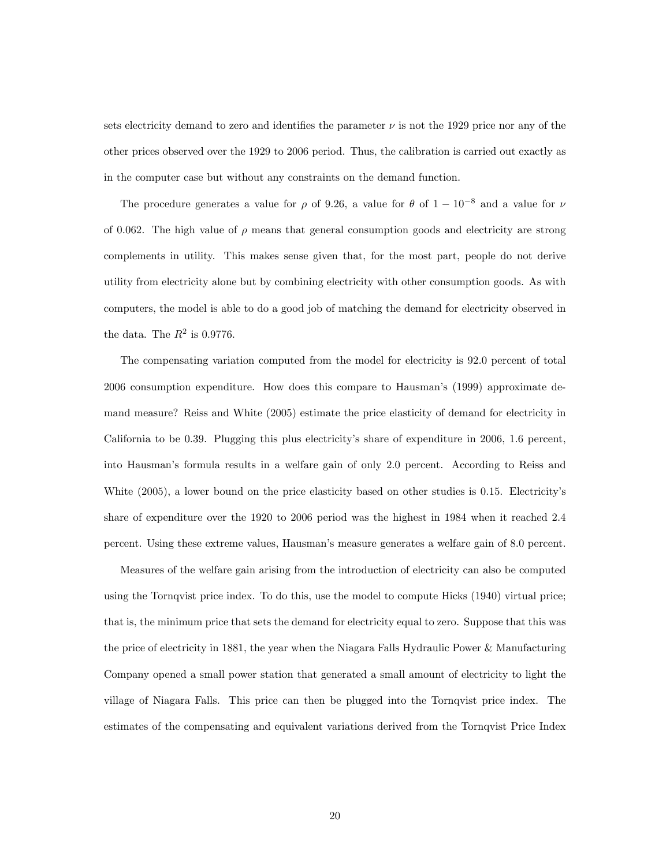sets electricity demand to zero and identifies the parameter  $\nu$  is not the 1929 price nor any of the other prices observed over the 1929 to 2006 period. Thus, the calibration is carried out exactly as in the computer case but without any constraints on the demand function.

The procedure generates a value for  $\rho$  of 9.26, a value for  $\theta$  of  $1-10^{-8}$  and a value for  $\nu$ of 0.062. The high value of  $\rho$  means that general consumption goods and electricity are strong complements in utility. This makes sense given that, for the most part, people do not derive utility from electricity alone but by combining electricity with other consumption goods. As with computers, the model is able to do a good job of matching the demand for electricity observed in the data. The  $R^2$  is 0.9776.

The compensating variation computed from the model for electricity is 92:0 percent of total 2006 consumption expenditure. How does this compare to Hausman's (1999) approximate demand measure? Reiss and White (2005) estimate the price elasticity of demand for electricity in California to be 0.39. Plugging this plus electricity's share of expenditure in 2006, 1.6 percent, into Hausmanís formula results in a welfare gain of only 2:0 percent. According to Reiss and White (2005), a lower bound on the price elasticity based on other studies is 0.15. Electricity's share of expenditure over the 1920 to 2006 period was the highest in 1984 when it reached 2:4 percent. Using these extreme values, Hausmanís measure generates a welfare gain of 8:0 percent.

Measures of the welfare gain arising from the introduction of electricity can also be computed using the Tornqvist price index. To do this, use the model to compute Hicks (1940) virtual price; that is, the minimum price that sets the demand for electricity equal to zero. Suppose that this was the price of electricity in 1881, the year when the Niagara Falls Hydraulic Power & Manufacturing Company opened a small power station that generated a small amount of electricity to light the village of Niagara Falls. This price can then be plugged into the Tornqvist price index. The estimates of the compensating and equivalent variations derived from the Tornqvist Price Index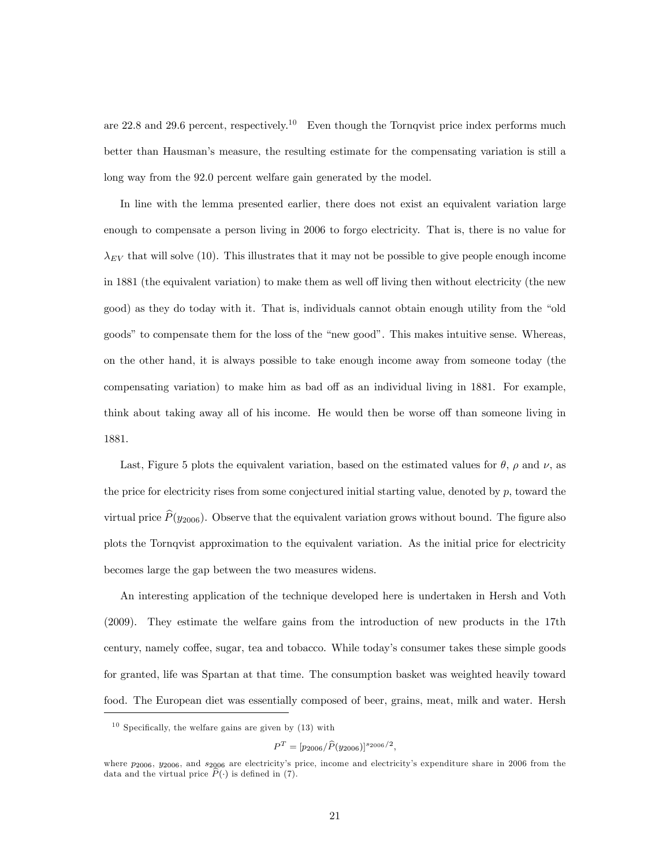are  $22.8$  and  $29.6$  percent, respectively.<sup>10</sup> Even though the Tornqvist price index performs much better than Hausman's measure, the resulting estimate for the compensating variation is still a long way from the 92.0 percent welfare gain generated by the model.

In line with the lemma presented earlier, there does not exist an equivalent variation large enough to compensate a person living in 2006 to forgo electricity. That is, there is no value for  $\lambda_{EV}$  that will solve (10). This illustrates that it may not be possible to give people enough income in 1881 (the equivalent variation) to make them as well off living then without electricity (the new good) as they do today with it. That is, individuals cannot obtain enough utility from the "old" goods" to compensate them for the loss of the "new good". This makes intuitive sense. Whereas, on the other hand, it is always possible to take enough income away from someone today (the compensating variation) to make him as bad off as an individual living in 1881. For example, think about taking away all of his income. He would then be worse off than someone living in 1881.

Last, Figure 5 plots the equivalent variation, based on the estimated values for  $\theta$ ,  $\rho$  and  $\nu$ , as the price for electricity rises from some conjectured initial starting value, denoted by  $p$ , toward the virtual price  $\hat{P}(y_{2006})$ . Observe that the equivalent variation grows without bound. The figure also plots the Tornqvist approximation to the equivalent variation. As the initial price for electricity becomes large the gap between the two measures widens.

An interesting application of the technique developed here is undertaken in Hersh and Voth (2009). They estimate the welfare gains from the introduction of new products in the 17th century, namely coffee, sugar, tea and tobacco. While today's consumer takes these simple goods for granted, life was Spartan at that time. The consumption basket was weighted heavily toward food. The European diet was essentially composed of beer, grains, meat, milk and water. Hersh

 $10$  Specifically, the welfare gains are given by (13) with

 $P^T = [p_{2006}/\widehat{P}(y_{2006})]^{s_{2006}/2},$ 

where  $p_{2006}$ ,  $y_{2006}$ , and  $s_{2006}$  are electricity's price, income and electricity's expenditure share in 2006 from the data and the virtual price  $\widehat{P}(\cdot)$  is defined in (7).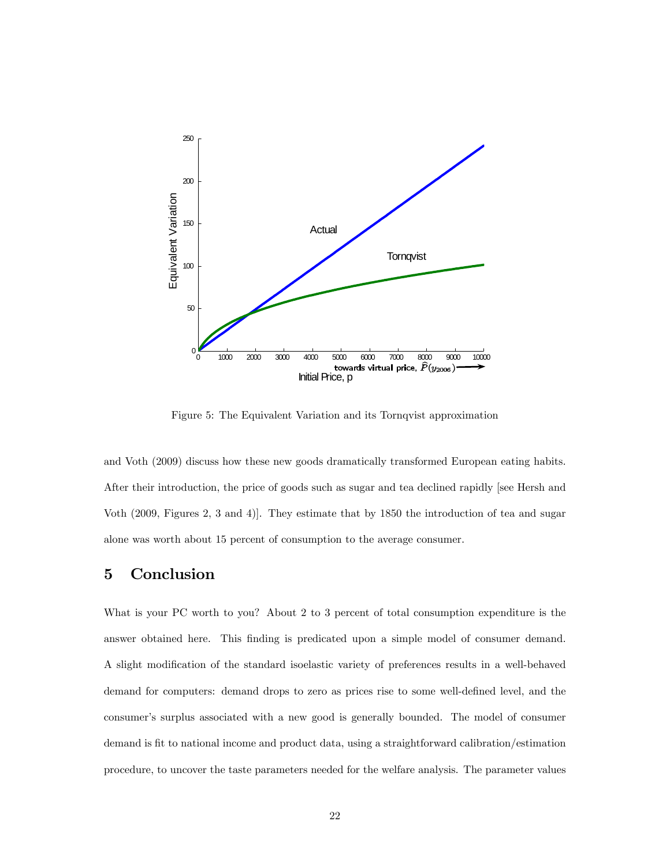

Figure 5: The Equivalent Variation and its Tornqvist approximation

and Voth (2009) discuss how these new goods dramatically transformed European eating habits. After their introduction, the price of goods such as sugar and tea declined rapidly [see Hersh and Voth (2009, Figures 2, 3 and 4)]. They estimate that by 1850 the introduction of tea and sugar alone was worth about 15 percent of consumption to the average consumer.

# 5 Conclusion

What is your PC worth to you? About 2 to 3 percent of total consumption expenditure is the answer obtained here. This Önding is predicated upon a simple model of consumer demand. A slight modification of the standard isoelastic variety of preferences results in a well-behaved demand for computers: demand drops to zero as prices rise to some well-defined level, and the consumer's surplus associated with a new good is generally bounded. The model of consumer demand is fit to national income and product data, using a straightforward calibration/estimation procedure, to uncover the taste parameters needed for the welfare analysis. The parameter values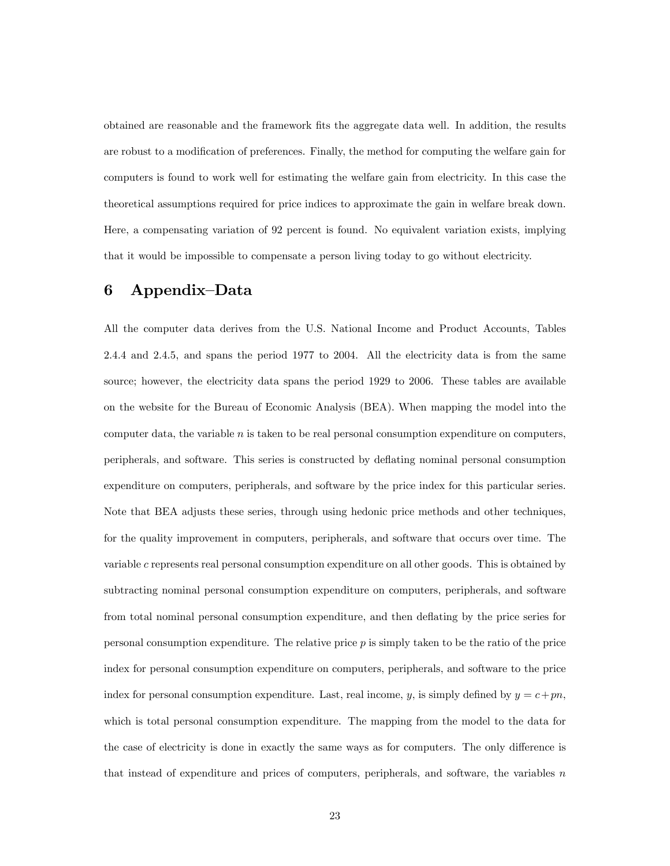obtained are reasonable and the framework Öts the aggregate data well. In addition, the results are robust to a modification of preferences. Finally, the method for computing the welfare gain for computers is found to work well for estimating the welfare gain from electricity. In this case the theoretical assumptions required for price indices to approximate the gain in welfare break down. Here, a compensating variation of 92 percent is found. No equivalent variation exists, implying that it would be impossible to compensate a person living today to go without electricity.

## 6 Appendix-Data

All the computer data derives from the U.S. National Income and Product Accounts, Tables 2.4.4 and 2.4.5, and spans the period 1977 to 2004. All the electricity data is from the same source; however, the electricity data spans the period 1929 to 2006. These tables are available on the website for the Bureau of Economic Analysis (BEA). When mapping the model into the computer data, the variable  $n$  is taken to be real personal consumption expenditure on computers, peripherals, and software. This series is constructed by deáating nominal personal consumption expenditure on computers, peripherals, and software by the price index for this particular series. Note that BEA adjusts these series, through using hedonic price methods and other techniques, for the quality improvement in computers, peripherals, and software that occurs over time. The variable c represents real personal consumption expenditure on all other goods. This is obtained by subtracting nominal personal consumption expenditure on computers, peripherals, and software from total nominal personal consumption expenditure, and then deflating by the price series for personal consumption expenditure. The relative price p is simply taken to be the ratio of the price index for personal consumption expenditure on computers, peripherals, and software to the price index for personal consumption expenditure. Last, real income, y, is simply defined by  $y = c + pn$ , which is total personal consumption expenditure. The mapping from the model to the data for the case of electricity is done in exactly the same ways as for computers. The only difference is that instead of expenditure and prices of computers, peripherals, and software, the variables  $n$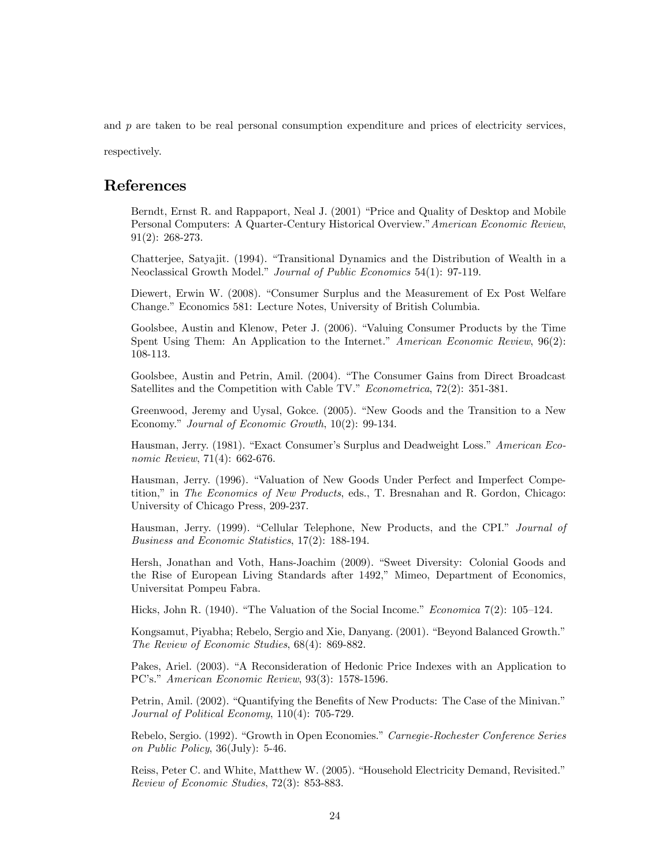and  $p$  are taken to be real personal consumption expenditure and prices of electricity services,

respectively.

## References

Berndt, Ernst R. and Rappaport, Neal J. (2001) "Price and Quality of Desktop and Mobile Personal Computers: A Quarter-Century Historical Overview." American Economic Review, 91(2): 268-273.

Chatterjee, Satyajit. (1994). "Transitional Dynamics and the Distribution of Wealth in a Neoclassical Growth Model." Journal of Public Economics 54(1): 97-119.

Diewert, Erwin W. (2008). "Consumer Surplus and the Measurement of Ex Post Welfare Change." Economics 581: Lecture Notes, University of British Columbia.

Goolsbee, Austin and Klenow, Peter J. (2006). "Valuing Consumer Products by the Time Spent Using Them: An Application to the Internet." American Economic Review, 96(2): 108-113.

Goolsbee, Austin and Petrin, Amil. (2004). "The Consumer Gains from Direct Broadcast Satellites and the Competition with Cable TV."  $Econometrica$ , 72(2): 351-381.

Greenwood, Jeremy and Uysal, Gokce. (2005). "New Goods and the Transition to a New Economy." Journal of Economic Growth,  $10(2)$ : 99-134.

Hausman, Jerry. (1981). "Exact Consumer's Surplus and Deadweight Loss." American Economic Review, 71(4): 662-676.

Hausman, Jerry. (1996). "Valuation of New Goods Under Perfect and Imperfect Competition," in The Economics of New Products, eds., T. Bresnahan and R. Gordon, Chicago: University of Chicago Press, 209-237.

Hausman, Jerry. (1999). "Cellular Telephone, New Products, and the CPI." Journal of Business and Economic Statistics, 17(2): 188-194.

Hersh, Jonathan and Voth, Hans-Joachim (2009). "Sweet Diversity: Colonial Goods and the Rise of European Living Standards after 1492," Mimeo, Department of Economics, Universitat Pompeu Fabra.

Hicks, John R. (1940). "The Valuation of the Social Income." Economica 7(2):  $105-124$ .

Kongsamut, Piyabha; Rebelo, Sergio and Xie, Danyang. (2001). "Beyond Balanced Growth." The Review of Economic Studies, 68(4): 869-882.

Pakes, Ariel. (2003). "A Reconsideration of Hedonic Price Indexes with an Application to PC's." American Economic Review, 93(3): 1578-1596.

Petrin, Amil. (2002). "Quantifying the Benefits of New Products: The Case of the Minivan." Journal of Political Economy, 110(4): 705-729.

Rebelo, Sergio. (1992). "Growth in Open Economies." Carnegie-Rochester Conference Series on Public Policy, 36(July): 5-46.

Reiss, Peter C. and White, Matthew W. (2005). "Household Electricity Demand, Revisited." Review of Economic Studies, 72(3): 853-883.